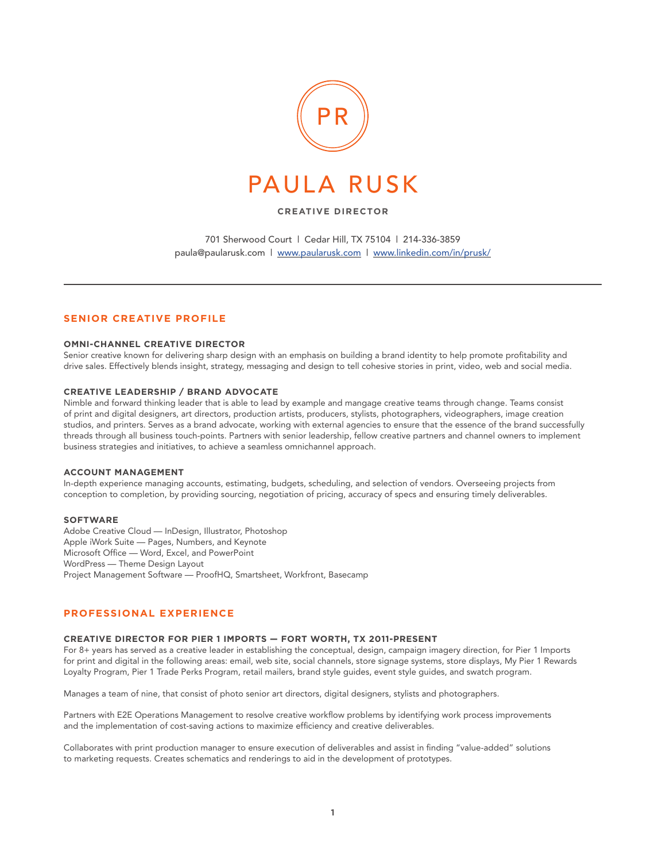

## **CREATIVE DIRECTOR**

701 Sherwood Court | Cedar Hill, TX 75104 | 214-336-3859 paula@paularusk.com | www.paularusk.com | www.linkedin.com/in/prusk/

## **SENIOR CREATIVE PROFILE**

#### **OMNI-CHANNEL CREATIVE DIRECTOR**

Senior creative known for delivering sharp design with an emphasis on building a brand identity to help promote profitability and drive sales. Effectively blends insight, strategy, messaging and design to tell cohesive stories in print, video, web and social media.

#### **CREATIVE LEADERSHIP / BRAND ADVOCATE**

Nimble and forward thinking leader that is able to lead by example and mangage creative teams through change. Teams consist of print and digital designers, art directors, production artists, producers, stylists, photographers, videographers, image creation studios, and printers. Serves as a brand advocate, working with external agencies to ensure that the essence of the brand successfully threads through all business touch-points. Partners with senior leadership, fellow creative partners and channel owners to implement business strategies and initiatives, to achieve a seamless omnichannel approach.

### **ACCOUNT MANAGEMENT**

In-depth experience managing accounts, estimating, budgets, scheduling, and selection of vendors. Overseeing projects from conception to completion, by providing sourcing, negotiation of pricing, accuracy of specs and ensuring timely deliverables.

#### **SOFTWARE**

Adobe Creative Cloud — InDesign, Illustrator, Photoshop Apple iWork Suite — Pages, Numbers, and Keynote Microsoft Office — Word, Excel, and PowerPoint WordPress — Theme Design Layout Project Management Software — ProofHQ, Smartsheet, Workfront, Basecamp

# **PROFESSIONAL EXPERIENCE**

#### **CREATIVE DIRECTOR FOR PIER 1 IMPORTS — FORT WORTH, TX 2011-PRESENT**

For 8+ years has served as a creative leader in establishing the conceptual, design, campaign imagery direction, for Pier 1 Imports for print and digital in the following areas: email, web site, social channels, store signage systems, store displays, My Pier 1 Rewards Loyalty Program, Pier 1 Trade Perks Program, retail mailers, brand style guides, event style guides, and swatch program.

Manages a team of nine, that consist of photo senior art directors, digital designers, stylists and photographers.

Partners with E2E Operations Management to resolve creative workflow problems by identifying work process improvements and the implementation of cost-saving actions to maximize efficiency and creative deliverables.

Collaborates with print production manager to ensure execution of deliverables and assist in finding "value-added" solutions to marketing requests. Creates schematics and renderings to aid in the development of prototypes.